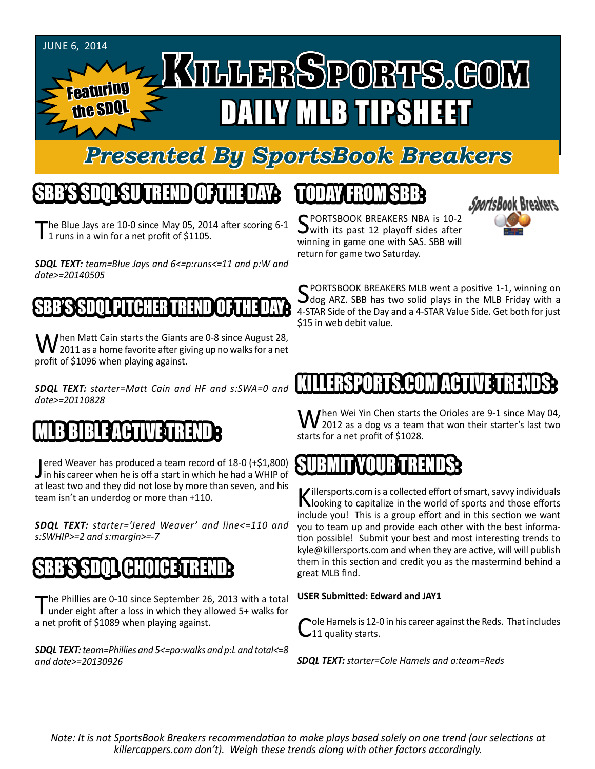#### JUNE 6, 2014

#### KILLERSPORTS.GOM Featuring DAILY MLB TIPSHEET the SDQL

#### *Presented By SportsBook Breakers*

#### SBB'S SDQL SU TREND OF THE DAY:

he Blue Jays are 10-0 since May 05, 2014 after scoring 6-1 1 1 runs in a win for a net profit of \$1105.

*SDQL TEXT: team=Blue Jays and 6<=p:runs<=11 and p:W and date>=20140505*

#### B'S'S SODDL PITCHHER TREN

When Matt Cain starts the Giants are 0-8 since August 28,<br>2011 as a home favorite after giving up no walks for a net profit of \$1096 when playing against.

*SDQL TEXT: starter=Matt Cain and HF and s:SWA=0 and date>=20110828*

#### BIBLE ACTIVITY TREND

Jered Weaver has produced a team record of 18-0 (+\$1,800)<br>in his career when he is off a start in which he had a WHIP of ered Weaver has produced a team record of 18-0 (+\$1,800) at least two and they did not lose by more than seven, and his team isn't an underdog or more than +110.

*SDQL TEXT: starter='Jered Weaver' and line<=110 and s:SWHIP>=2 and s:margin>=-7*

### SBB'S SPACE TREND: CONTROL

The Phillies are 0-10 since September 26, 2013 with a total<br>under eight after a loss in which they allowed 5+ walks for a net profit of \$1089 when playing against.

*SDQL TEXT: team=Phillies and 5<=po:walks and p:L and total<=8 and date>=20130926*

## TODAY HAOMSBB



SPORTSBOOK BREAKERS NBA is 10-2<br>Swith its past 12 playoff sides after winning in game one with SAS. SBB will return for game two Saturday.

C PORTSBOOK BREAKERS MLB went a positive 1-1, winning on  $\bigcup$ dog ARZ. SBB has two solid plays in the MLB Friday with a 4-STAR Side of the Day and a 4-STAR Value Side. Get both for just \$15 in web debit value.

#### KILLERSPORTS COM ACTI

When Wei Yin Chen starts the Orioles are 9-1 since May 04,<br>2012 as a dog vs a team that won their starter's last two starts for a net profit of \$1028.

### SUBMITYOURTRENDS:

Killersports.com is a collected effort of smart, savvy individuals<br>Nooking to capitalize in the world of sports and those efforts include you! This is a group effort and in this section we want you to team up and provide each other with the best information possible! Submit your best and most interesting trends to kyle@killersports.com and when they are active, will will publish them in this section and credit you as the mastermind behind a great MLB find.

#### **USER Submitted: Edward and JAY1**

ole Hamels is 12-0 in his career against the Reds. That includes 11 quality starts.

*SDQL TEXT: starter=Cole Hamels and o:team=Reds* 

*Note: It is not SportsBook Breakers recommendation to make plays based solely on one trend (our selections at killercappers.com don't). Weigh these trends along with other factors accordingly.*